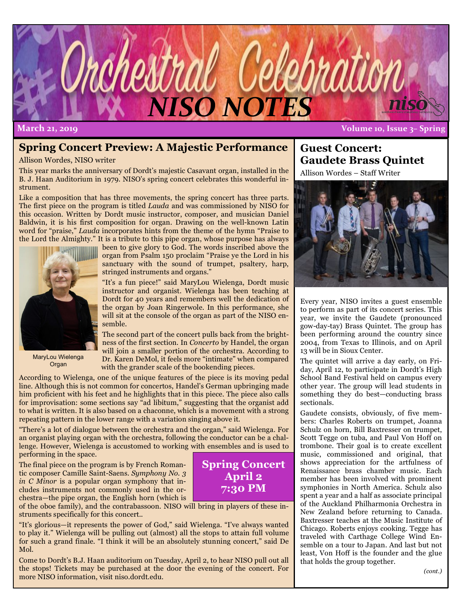

**March 21, 2019 Volume 10, Issue 3– Spring**

## **Spring Concert Preview: A Majestic Performance**

Allison Wordes, NISO writer

This year marks the anniversary of Dordt's majestic Casavant organ, installed in the B. J. Haan Auditorium in 1979. NISO's spring concert celebrates this wonderful instrument.

Like a composition that has three movements, the spring concert has three parts. The first piece on the program is titled *Lauda* and was commissioned by NISO for this occasion. Written by Dordt music instructor, composer, and musician Daniel Baldwin, it is his first composition for organ. Drawing on the well-known Latin word for "praise," *Lauda* incorporates hints from the theme of the hymn "Praise to the Lord the Almighty." It is a tribute to this pipe organ, whose purpose has always



MaryLou Wielenga Organ

been to give glory to God. The words inscribed above the organ from Psalm 150 proclaim "Praise ye the Lord in his sanctuary with the sound of trumpet, psaltery, harp, stringed instruments and organs."

"It's a fun piece!" said MaryLou Wielenga, Dordt music instructor and organist. Wielenga has been teaching at Dordt for 40 years and remembers well the dedication of the organ by Joan Ringerwole. In this performance, she will sit at the console of the organ as part of the NISO ensemble.

The second part of the concert pulls back from the brightness of the first section. In *Concerto* by Handel, the organ will join a smaller portion of the orchestra. According to Dr. Karen DeMol, it feels more "intimate" when compared with the grander scale of the bookending pieces.

According to Wielenga, one of the unique features of the piece is its moving pedal line. Although this is not common for concertos, Handel's German upbringing made him proficient with his feet and he highlights that in this piece. The piece also calls for improvisation: some sections say "ad libitum," suggesting that the organist add to what is written. It is also based on a chaconne, which is a movement with a strong repeating pattern in the lower range with a variation singing above it.

"There's a lot of dialogue between the orchestra and the organ," said Wielenga. For an organist playing organ with the orchestra, following the conductor can be a challenge. However, Wielenga is accustomed to working with ensembles and is used to performing in the space.

The final piece on the program is by French Romantic composer Camille Saint-Saens*. Symphony No. 3 in C Minor* is a popular organ symphony that includes instruments not commonly used in the orchestra—the pipe organ, the English horn (which is



of the oboe family), and the contrabassoon. NISO will bring in players of these instruments specifically for this concert..

"It's glorious—it represents the power of God," said Wielenga. "I've always wanted to play it." Wielenga will be pulling out (almost) all the stops to attain full volume for such a grand finale. "I think it will be an absolutely stunning concert," said De Mol.

Come to Dordt's B.J. Haan auditorium on Tuesday, April 2, to hear NISO pull out all the stops! Tickets may be purchased at the door the evening of the concert. For more NISO information, visit niso.dordt.edu.

## **Guest Concert: Gaudete Brass Quintet**

Allison Wordes – Staff Writer



Every year, NISO invites a guest ensemble to perform as part of its concert series. This year, we invite the Gaudete (pronounced gow-day-tay) Brass Quintet. The group has been performing around the country since 2004, from Texas to Illinois, and on April 13 will be in Sioux Center.

The quintet will arrive a day early, on Friday, April 12, to participate in Dordt's High School Band Festival held on campus every other year. The group will lead students in something they do best—conducting brass sectionals.

Gaudete consists, obviously, of five members: Charles Roberts on trumpet, Joanna Schulz on horn, Bill Baxtresser on trumpet, Scott Tegge on tuba, and Paul Von Hoff on trombone. Their goal is to create excellent music, commissioned and original, that shows appreciation for the artfulness of Renaissance brass chamber music. Each member has been involved with prominent symphonies in North America. Schulz also spent a year and a half as associate principal of the Auckland Philharmonia Orchestra in New Zealand before returning to Canada. Baxtresser teaches at the Music Institute of Chicago. Roberts enjoys cooking. Tegge has traveled with Carthage College Wind Ensemble on a tour to Japan. And last but not least, Von Hoff is the founder and the glue that holds the group together.